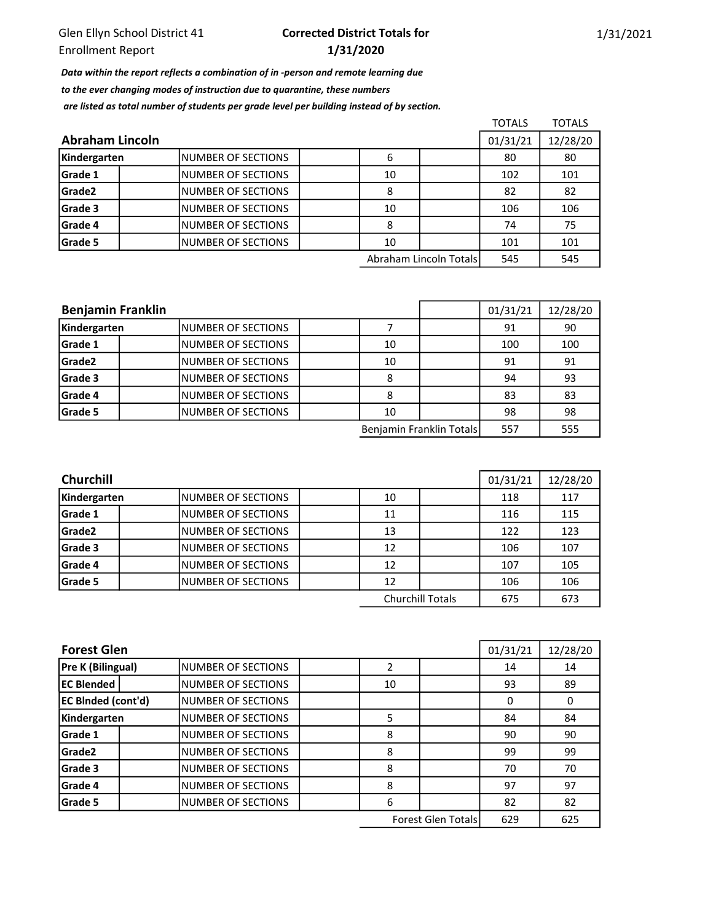## Corrected District Totals for 1/31/2020

Data within the report reflects a combination of in -person and remote learning due

## to the ever changing modes of instruction due to quarantine, these numbers

are listed as total number of students per grade level per building instead of by section.

|                 |                           |  |    |                        | <b>TOTALS</b> | <b>TOTALS</b> |
|-----------------|---------------------------|--|----|------------------------|---------------|---------------|
| Abraham Lincoln |                           |  |    |                        |               | 12/28/20      |
| Kindergarten    | INUMBER OF SECTIONS       |  | 6  |                        | 80            | 80            |
| <b>Grade 1</b>  | <b>NUMBER OF SECTIONS</b> |  | 10 |                        | 102           | 101           |
| <b>Grade2</b>   | <b>NUMBER OF SECTIONS</b> |  | 8  |                        | 82            | 82            |
| Grade 3         | INUMBER OF SECTIONS       |  | 10 |                        | 106           | 106           |
| Grade 4         | <b>NUMBER OF SECTIONS</b> |  | 8  |                        | 74            | 75            |
| Grade 5         | <b>NUMBER OF SECTIONS</b> |  | 10 |                        | 101           | 101           |
|                 |                           |  |    | Abraham Lincoln Totals | 545           | 545           |

| <b>Benjamin Franklin</b> |                     |    | 01/31/21                 | 12/28/20 |     |
|--------------------------|---------------------|----|--------------------------|----------|-----|
| Kindergarten             | INUMBER OF SECTIONS |    |                          | 91       | 90  |
| Grade 1                  | INUMBER OF SECTIONS | 10 |                          | 100      | 100 |
| Grade <sub>2</sub>       | INUMBER OF SECTIONS | 10 |                          | 91       | 91  |
| <b>Grade 3</b>           | INUMBER OF SECTIONS | 8  |                          |          | 93  |
| Grade 4                  | INUMBER OF SECTIONS | 8  |                          | 83       | 83  |
| Grade 5                  | INUMBER OF SECTIONS | 10 |                          | 98       | 98  |
|                          |                     |    | Benjamin Franklin Totals | 557      | 555 |

| <b>Churchill</b> |                           |    |                         | 01/31/21 | 12/28/20 |
|------------------|---------------------------|----|-------------------------|----------|----------|
| Kindergarten     | INUMBER OF SECTIONS       | 10 |                         | 118      | 117      |
| <b>Grade 1</b>   | <b>NUMBER OF SECTIONS</b> | 11 |                         | 116      | 115      |
| Grade2           | INUMBER OF SECTIONS       | 13 |                         | 122      | 123      |
| Grade 3          | <b>NUMBER OF SECTIONS</b> | 12 |                         | 106      | 107      |
| <b>Grade 4</b>   | <b>NUMBER OF SECTIONS</b> | 12 |                         | 107      | 105      |
| <b>Grade 5</b>   | INUMBER OF SECTIONS       | 12 |                         | 106      | 106      |
|                  |                           |    | <b>Churchill Totals</b> | 675      | 673      |

| <b>Forest Glen</b>        | 01/31/21                  | 12/28/20 |                           |     |     |
|---------------------------|---------------------------|----------|---------------------------|-----|-----|
| Pre K (Bilingual)         | INUMBER OF SECTIONS       |          |                           | 14  | 14  |
| <b>EC Blended</b>         | <b>NUMBER OF SECTIONS</b> | 10       |                           | 93  | 89  |
| <b>EC BInded (cont'd)</b> | <b>NUMBER OF SECTIONS</b> |          |                           | 0   | 0   |
| Kindergarten              | NUMBER OF SECTIONS        | 5        |                           | 84  | 84  |
| Grade 1                   | <b>NUMBER OF SECTIONS</b> | 8        |                           | 90  | 90  |
| Grade <sub>2</sub>        | <b>NUMBER OF SECTIONS</b> | 8        |                           | 99  | 99  |
| Grade 3                   | <b>NUMBER OF SECTIONS</b> | 8        |                           | 70  | 70  |
| Grade 4                   | <b>NUMBER OF SECTIONS</b> | 8        |                           | 97  | 97  |
| Grade 5                   | <b>NUMBER OF SECTIONS</b> | 6        |                           | 82  | 82  |
|                           |                           |          | <b>Forest Glen Totals</b> | 629 | 625 |